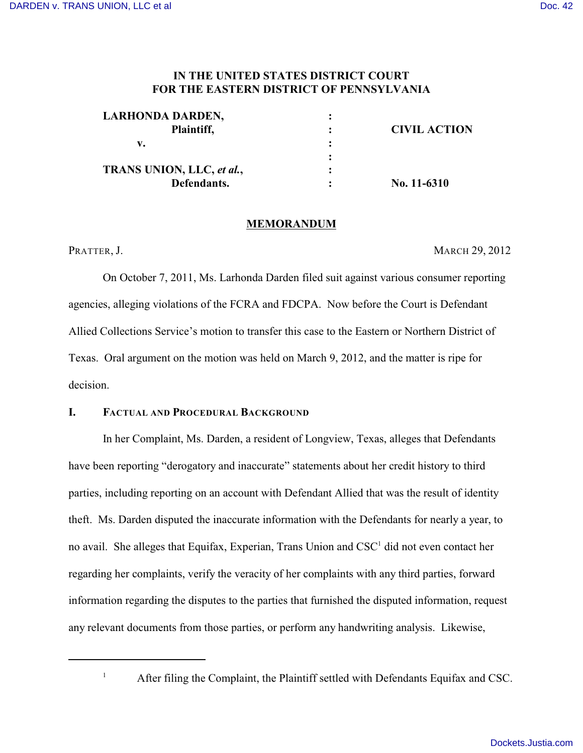# **IN THE UNITED STATES DISTRICT COURT FOR THE EASTERN DISTRICT OF PENNSYLVANIA**

| <b>LARHONDA DARDEN,</b>   |                     |
|---------------------------|---------------------|
| Plaintiff,                | <b>CIVIL ACTION</b> |
| v.                        |                     |
|                           |                     |
| TRANS UNION, LLC, et al., |                     |
| Defendants.               | No. $11-6310$       |

### **MEMORANDUM**

PRATTER, J. MARCH 29, 2012

On October 7, 2011, Ms. Larhonda Darden filed suit against various consumer reporting agencies, alleging violations of the FCRA and FDCPA. Now before the Court is Defendant Allied Collections Service's motion to transfer this case to the Eastern or Northern District of Texas. Oral argument on the motion was held on March 9, 2012, and the matter is ripe for decision.

### **I. FACTUAL AND PROCEDURAL BACKGROUND**

In her Complaint, Ms. Darden, a resident of Longview, Texas, alleges that Defendants have been reporting "derogatory and inaccurate" statements about her credit history to third parties, including reporting on an account with Defendant Allied that was the result of identity theft. Ms. Darden disputed the inaccurate information with the Defendants for nearly a year, to no avail. She alleges that Equifax, Experian, Trans Union and CSC<sup>1</sup> did not even contact her regarding her complaints, verify the veracity of her complaints with any third parties, forward information regarding the disputes to the parties that furnished the disputed information, request any relevant documents from those parties, or perform any handwriting analysis. Likewise,

<sup>&</sup>lt;sup>1</sup> After filing the Complaint, the Plaintiff settled with Defendants Equifax and CSC.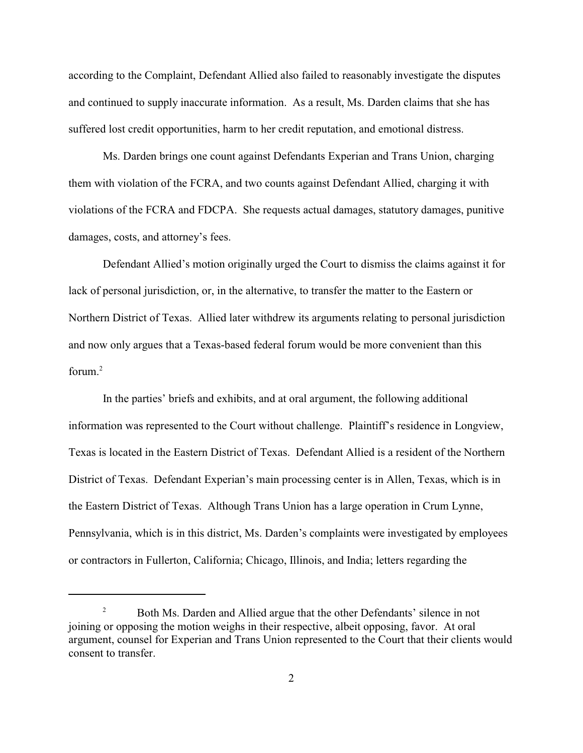according to the Complaint, Defendant Allied also failed to reasonably investigate the disputes and continued to supply inaccurate information. As a result, Ms. Darden claims that she has suffered lost credit opportunities, harm to her credit reputation, and emotional distress.

Ms. Darden brings one count against Defendants Experian and Trans Union, charging them with violation of the FCRA, and two counts against Defendant Allied, charging it with violations of the FCRA and FDCPA. She requests actual damages, statutory damages, punitive damages, costs, and attorney's fees.

Defendant Allied's motion originally urged the Court to dismiss the claims against it for lack of personal jurisdiction, or, in the alternative, to transfer the matter to the Eastern or Northern District of Texas. Allied later withdrew its arguments relating to personal jurisdiction and now only argues that a Texas-based federal forum would be more convenient than this forum. $2$ 

In the parties' briefs and exhibits, and at oral argument, the following additional information was represented to the Court without challenge. Plaintiff's residence in Longview, Texas is located in the Eastern District of Texas. Defendant Allied is a resident of the Northern District of Texas. Defendant Experian's main processing center is in Allen, Texas, which is in the Eastern District of Texas. Although Trans Union has a large operation in Crum Lynne, Pennsylvania, which is in this district, Ms. Darden's complaints were investigated by employees or contractors in Fullerton, California; Chicago, Illinois, and India; letters regarding the

<sup>&</sup>lt;sup>2</sup> Both Ms. Darden and Allied argue that the other Defendants' silence in not joining or opposing the motion weighs in their respective, albeit opposing, favor. At oral argument, counsel for Experian and Trans Union represented to the Court that their clients would consent to transfer.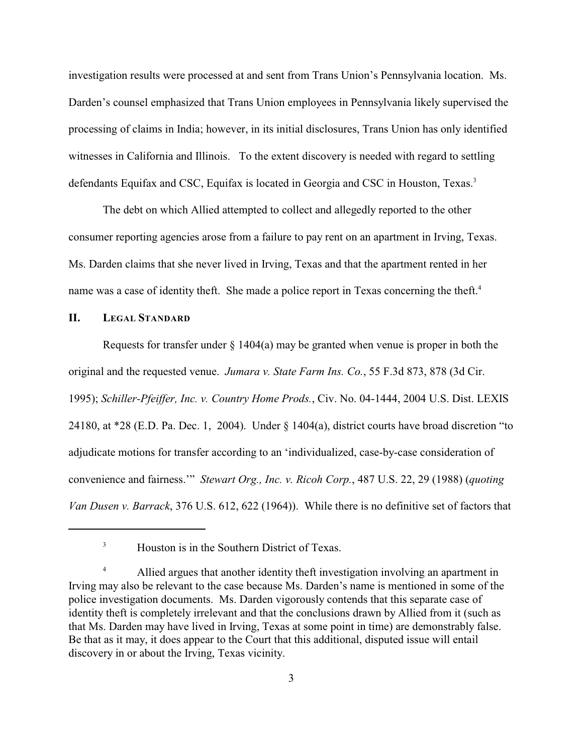investigation results were processed at and sent from Trans Union's Pennsylvania location. Ms. Darden's counsel emphasized that Trans Union employees in Pennsylvania likely supervised the processing of claims in India; however, in its initial disclosures, Trans Union has only identified witnesses in California and Illinois. To the extent discovery is needed with regard to settling defendants Equifax and CSC, Equifax is located in Georgia and CSC in Houston, Texas.<sup>3</sup>

The debt on which Allied attempted to collect and allegedly reported to the other consumer reporting agencies arose from a failure to pay rent on an apartment in Irving, Texas. Ms. Darden claims that she never lived in Irving, Texas and that the apartment rented in her name was a case of identity theft. She made a police report in Texas concerning the theft.<sup>4</sup>

### **II. LEGAL STANDARD**

Requests for transfer under  $\S$  1404(a) may be granted when venue is proper in both the original and the requested venue. *Jumara v. State Farm Ins. Co.*, 55 F.3d 873, 878 (3d Cir. 1995); *Schiller-Pfeiffer, Inc. v. Country Home Prods.*, Civ. No. 04-1444, 2004 U.S. Dist. LEXIS 24180, at \*28 (E.D. Pa. Dec. 1, 2004). Under § 1404(a), district courts have broad discretion "to adjudicate motions for transfer according to an 'individualized, case-by-case consideration of convenience and fairness.'" *Stewart Org., Inc. v. Ricoh Corp.*, 487 U.S. 22, 29 (1988) (*quoting Van Dusen v. Barrack*, 376 U.S. 612, 622 (1964)). While there is no definitive set of factors that

<sup>&</sup>lt;sup>3</sup> Houston is in the Southern District of Texas.

<sup>&</sup>lt;sup>4</sup> Allied argues that another identity theft investigation involving an apartment in Irving may also be relevant to the case because Ms. Darden's name is mentioned in some of the police investigation documents. Ms. Darden vigorously contends that this separate case of identity theft is completely irrelevant and that the conclusions drawn by Allied from it (such as that Ms. Darden may have lived in Irving, Texas at some point in time) are demonstrably false. Be that as it may, it does appear to the Court that this additional, disputed issue will entail discovery in or about the Irving, Texas vicinity.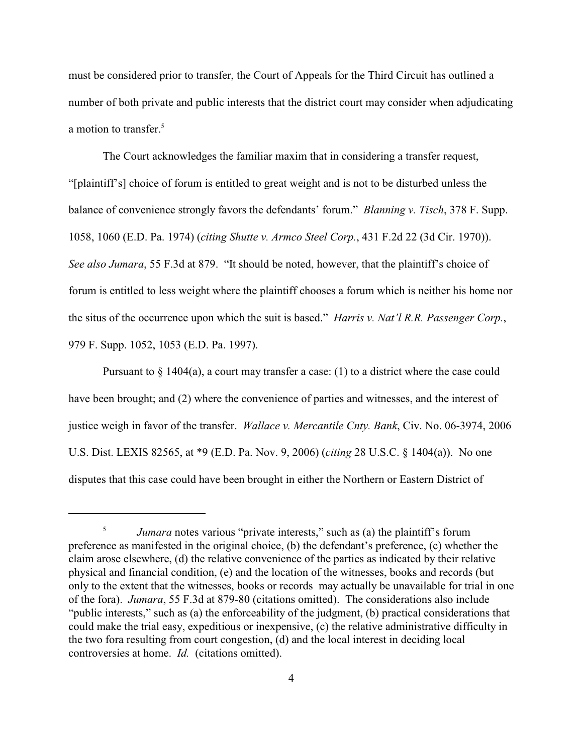must be considered prior to transfer, the Court of Appeals for the Third Circuit has outlined a number of both private and public interests that the district court may consider when adjudicating a motion to transfer.<sup>5</sup>

The Court acknowledges the familiar maxim that in considering a transfer request, "[plaintiff's] choice of forum is entitled to great weight and is not to be disturbed unless the balance of convenience strongly favors the defendants' forum." *Blanning v. Tisch*, 378 F. Supp. 1058, 1060 (E.D. Pa. 1974) (*citing Shutte v. Armco Steel Corp.*, 431 F.2d 22 (3d Cir. 1970)). *See also Jumara*, 55 F.3d at 879. "It should be noted, however, that the plaintiff's choice of forum is entitled to less weight where the plaintiff chooses a forum which is neither his home nor the situs of the occurrence upon which the suit is based." *Harris v. Nat'l R.R. Passenger Corp.*, 979 F. Supp. 1052, 1053 (E.D. Pa. 1997).

Pursuant to  $\S$  1404(a), a court may transfer a case: (1) to a district where the case could have been brought; and (2) where the convenience of parties and witnesses, and the interest of justice weigh in favor of the transfer. *Wallace v. Mercantile Cnty. Bank*, Civ. No. 06-3974, 2006 U.S. Dist. LEXIS 82565, at \*9 (E.D. Pa. Nov. 9, 2006) (*citing* 28 U.S.C. § 1404(a)). No one disputes that this case could have been brought in either the Northern or Eastern District of

<sup>&</sup>lt;sup>5</sup> *Jumara* notes various "private interests," such as (a) the plaintiff's forum preference as manifested in the original choice, (b) the defendant's preference, (c) whether the claim arose elsewhere, (d) the relative convenience of the parties as indicated by their relative physical and financial condition, (e) and the location of the witnesses, books and records (but only to the extent that the witnesses, books or records may actually be unavailable for trial in one of the fora). *Jumara*, 55 F.3d at 879-80 (citations omitted). The considerations also include "public interests," such as (a) the enforceability of the judgment, (b) practical considerations that could make the trial easy, expeditious or inexpensive, (c) the relative administrative difficulty in the two fora resulting from court congestion, (d) and the local interest in deciding local controversies at home. *Id.* (citations omitted).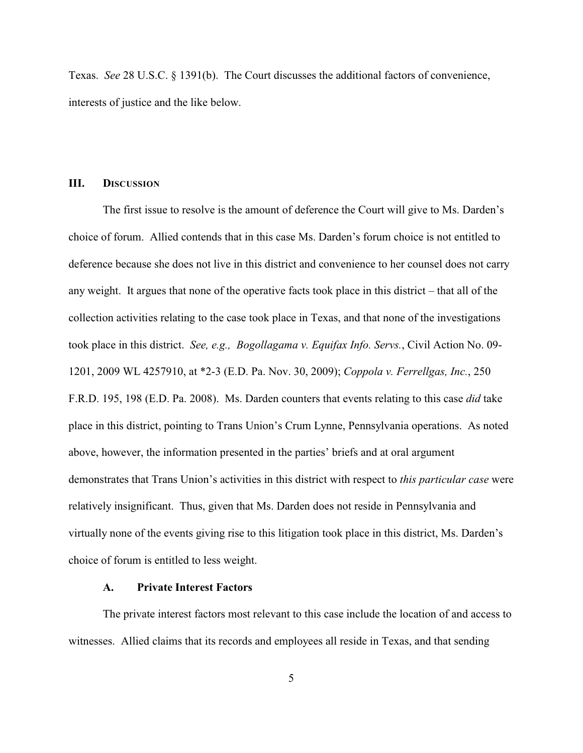Texas. *See* 28 U.S.C. § 1391(b). The Court discusses the additional factors of convenience, interests of justice and the like below.

## **III. DISCUSSION**

The first issue to resolve is the amount of deference the Court will give to Ms. Darden's choice of forum. Allied contends that in this case Ms. Darden's forum choice is not entitled to deference because she does not live in this district and convenience to her counsel does not carry any weight. It argues that none of the operative facts took place in this district – that all of the collection activities relating to the case took place in Texas, and that none of the investigations took place in this district. *See, e.g., Bogollagama v. Equifax Info. Servs.*, Civil Action No. 09- 1201, 2009 WL 4257910, at \*2-3 (E.D. Pa. Nov. 30, 2009); *Coppola v. Ferrellgas, Inc.*, 250 F.R.D. 195, 198 (E.D. Pa. 2008). Ms. Darden counters that events relating to this case *did* take place in this district, pointing to Trans Union's Crum Lynne, Pennsylvania operations. As noted above, however, the information presented in the parties' briefs and at oral argument demonstrates that Trans Union's activities in this district with respect to *this particular case* were relatively insignificant. Thus, given that Ms. Darden does not reside in Pennsylvania and virtually none of the events giving rise to this litigation took place in this district, Ms. Darden's choice of forum is entitled to less weight.

### **A. Private Interest Factors**

The private interest factors most relevant to this case include the location of and access to witnesses. Allied claims that its records and employees all reside in Texas, and that sending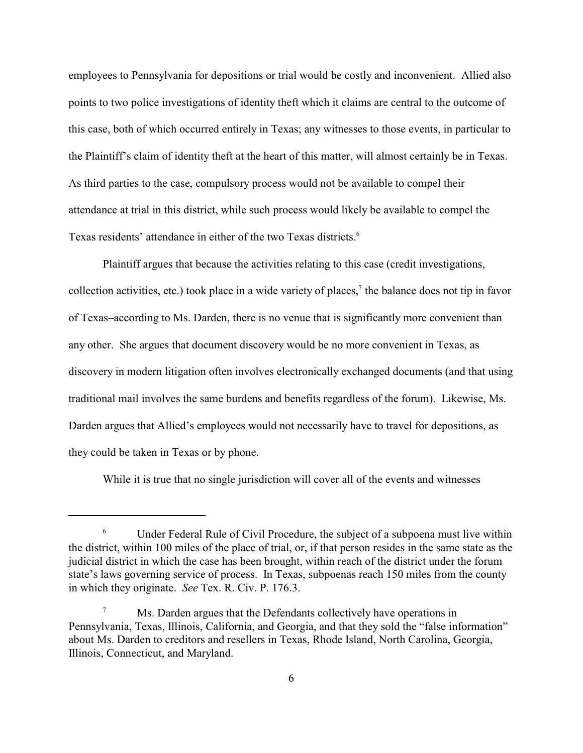employees to Pennsylvania for depositions or trial would be costly and inconvenient. Allied also points to two police investigations of identity theft which it claims are central to the outcome of this case, both of which occurred entirely in Texas; any witnesses to those events, in particular to the Plaintiff's claim of identity theft at the heart of this matter, will almost certainly be in Texas. As third parties to the case, compulsory process would not be available to compel their attendance at trial in this district, while such process would likely be available to compel the Texas residents' attendance in either of the two Texas districts.<sup>6</sup>

Plaintiff argues that because the activities relating to this case (credit investigations, collection activities, etc.) took place in a wide variety of places,<sup> $\tau$ </sup> the balance does not tip in favor of Texas–according to Ms. Darden, there is no venue that is significantly more convenient than any other. She argues that document discovery would be no more convenient in Texas, as discovery in modern litigation often involves electronically exchanged documents (and that using traditional mail involves the same burdens and benefits regardless of the forum). Likewise, Ms. Darden argues that Allied's employees would not necessarily have to travel for depositions, as they could be taken in Texas or by phone.

While it is true that no single jurisdiction will cover all of the events and witnesses

<sup>&</sup>lt;sup>6</sup> Under Federal Rule of Civil Procedure, the subject of a subpoena must live within the district, within 100 miles of the place of trial, or, if that person resides in the same state as the judicial district in which the case has been brought, within reach of the district under the forum state's laws governing service of process. In Texas, subpoenas reach 150 miles from the county in which they originate. *See* Tex. R. Civ. P. 176.3.

<sup>&</sup>lt;sup>7</sup> Ms. Darden argues that the Defendants collectively have operations in Pennsylvania, Texas, Illinois, California, and Georgia, and that they sold the "false information" about Ms. Darden to creditors and resellers in Texas, Rhode Island, North Carolina, Georgia, Illinois, Connecticut, and Maryland.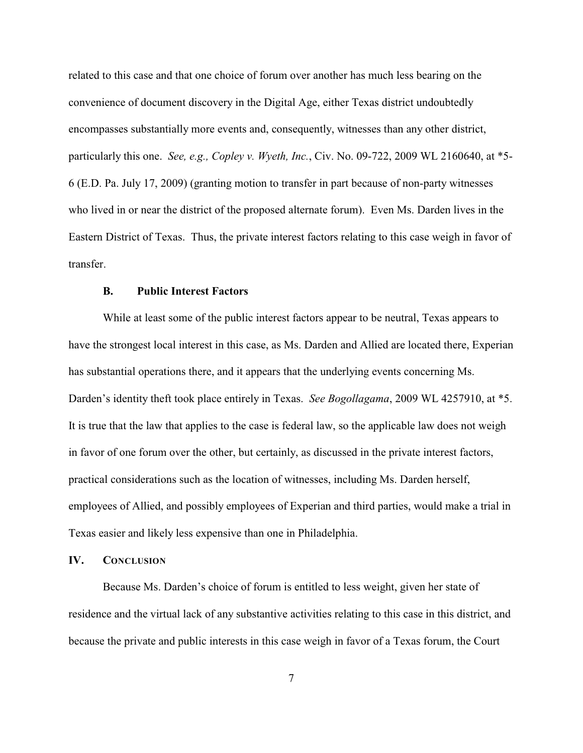related to this case and that one choice of forum over another has much less bearing on the convenience of document discovery in the Digital Age, either Texas district undoubtedly encompasses substantially more events and, consequently, witnesses than any other district, particularly this one. *See, e.g., Copley v. Wyeth, Inc.*, Civ. No. 09-722, 2009 WL 2160640, at \*5- 6 (E.D. Pa. July 17, 2009) (granting motion to transfer in part because of non-party witnesses who lived in or near the district of the proposed alternate forum). Even Ms. Darden lives in the Eastern District of Texas. Thus, the private interest factors relating to this case weigh in favor of transfer.

### **B. Public Interest Factors**

While at least some of the public interest factors appear to be neutral, Texas appears to have the strongest local interest in this case, as Ms. Darden and Allied are located there, Experian has substantial operations there, and it appears that the underlying events concerning Ms. Darden's identity theft took place entirely in Texas. *See Bogollagama*, 2009 WL 4257910, at \*5. It is true that the law that applies to the case is federal law, so the applicable law does not weigh in favor of one forum over the other, but certainly, as discussed in the private interest factors, practical considerations such as the location of witnesses, including Ms. Darden herself, employees of Allied, and possibly employees of Experian and third parties, would make a trial in Texas easier and likely less expensive than one in Philadelphia.

### **IV. CONCLUSION**

Because Ms. Darden's choice of forum is entitled to less weight, given her state of residence and the virtual lack of any substantive activities relating to this case in this district, and because the private and public interests in this case weigh in favor of a Texas forum, the Court